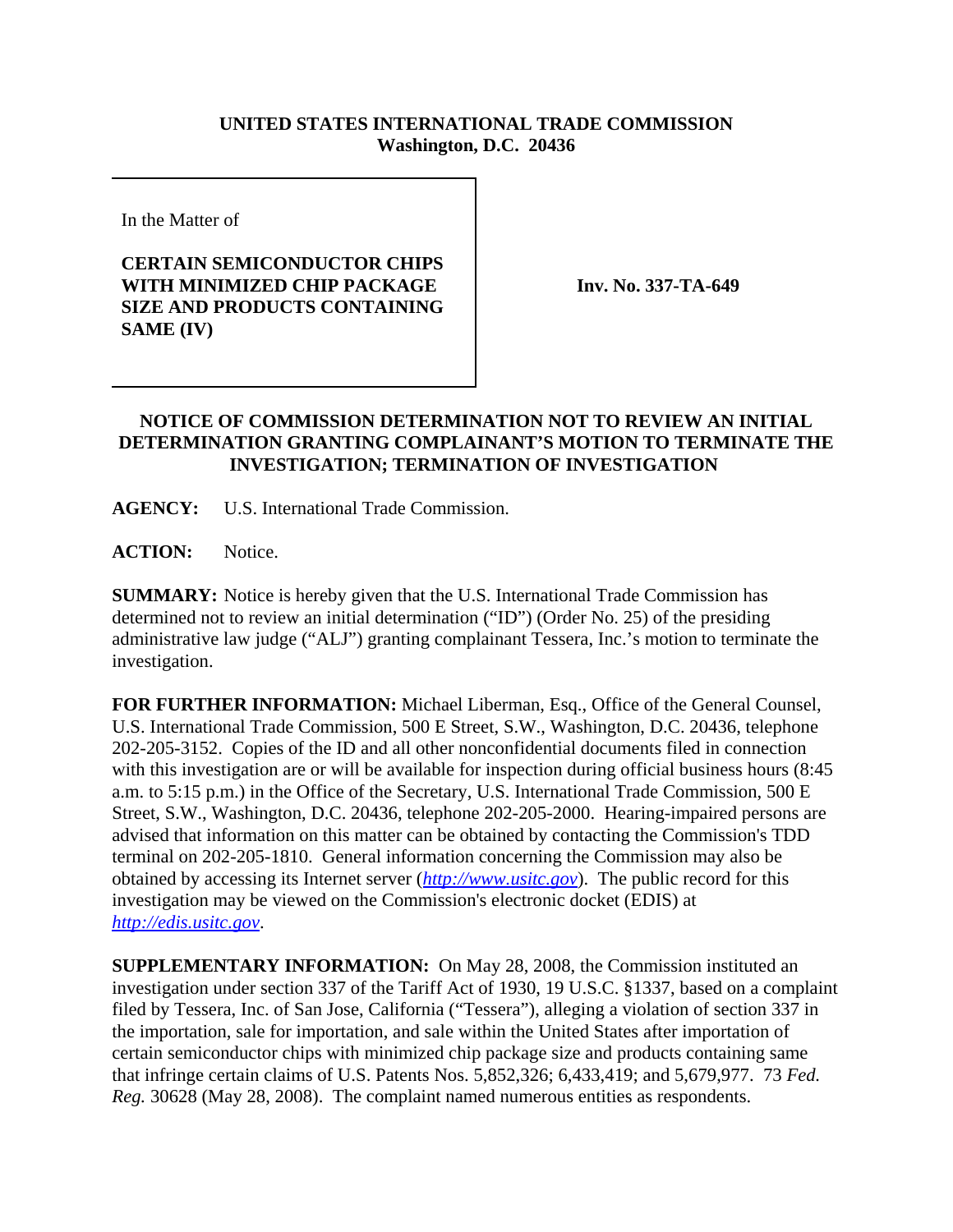## **UNITED STATES INTERNATIONAL TRADE COMMISSION Washington, D.C. 20436**

In the Matter of

## **CERTAIN SEMICONDUCTOR CHIPS WITH MINIMIZED CHIP PACKAGE SIZE AND PRODUCTS CONTAINING SAME (IV)**

**Inv. No. 337-TA-649**

## **NOTICE OF COMMISSION DETERMINATION NOT TO REVIEW AN INITIAL DETERMINATION GRANTING COMPLAINANT'S MOTION TO TERMINATE THE INVESTIGATION; TERMINATION OF INVESTIGATION**

**AGENCY:** U.S. International Trade Commission.

**ACTION:** Notice.

**SUMMARY:** Notice is hereby given that the U.S. International Trade Commission has determined not to review an initial determination ("ID") (Order No. 25) of the presiding administrative law judge ("ALJ") granting complainant Tessera, Inc.'s motion to terminate the investigation.

**FOR FURTHER INFORMATION:** Michael Liberman, Esq., Office of the General Counsel, U.S. International Trade Commission, 500 E Street, S.W., Washington, D.C. 20436, telephone 202-205-3152. Copies of the ID and all other nonconfidential documents filed in connection with this investigation are or will be available for inspection during official business hours (8:45 a.m. to 5:15 p.m.) in the Office of the Secretary, U.S. International Trade Commission, 500 E Street, S.W., Washington, D.C. 20436, telephone 202-205-2000. Hearing-impaired persons are advised that information on this matter can be obtained by contacting the Commission's TDD terminal on 202-205-1810. General information concerning the Commission may also be obtained by accessing its Internet server (*http://www.usitc.gov*). The public record for this investigation may be viewed on the Commission's electronic docket (EDIS) at *http://edis.usitc.gov*.

**SUPPLEMENTARY INFORMATION:** On May 28, 2008, the Commission instituted an investigation under section 337 of the Tariff Act of 1930, 19 U.S.C. §1337, based on a complaint filed by Tessera, Inc. of San Jose, California ("Tessera"), alleging a violation of section 337 in the importation, sale for importation, and sale within the United States after importation of certain semiconductor chips with minimized chip package size and products containing same that infringe certain claims of U.S. Patents Nos. 5,852,326; 6,433,419; and 5,679,977. 73 *Fed. Reg.* 30628 (May 28, 2008). The complaint named numerous entities as respondents.